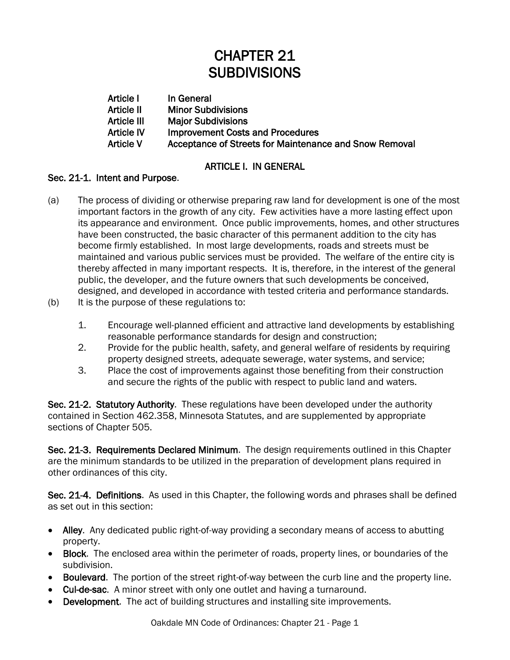# CHAPTER 21 **SUBDIVISIONS**

Article I In General Article II Minor Subdivisions Article III Major Subdivisions Article IV Improvement Costs and Procedures Article V Acceptance of Streets for Maintenance and Snow Removal

# ARTICLE I. IN GENERAL

## Sec. 21-1. Intent and Purpose.

- (a) The process of dividing or otherwise preparing raw land for development is one of the most important factors in the growth of any city. Few activities have a more lasting effect upon its appearance and environment. Once public improvements, homes, and other structures have been constructed, the basic character of this permanent addition to the city has become firmly established. In most large developments, roads and streets must be maintained and various public services must be provided. The welfare of the entire city is thereby affected in many important respects. It is, therefore, in the interest of the general public, the developer, and the future owners that such developments be conceived, designed, and developed in accordance with tested criteria and performance standards.
- (b) It is the purpose of these regulations to:
	- 1. Encourage well-planned efficient and attractive land developments by establishing reasonable performance standards for design and construction;
	- 2. Provide for the public health, safety, and general welfare of residents by requiring property designed streets, adequate sewerage, water systems, and service;
	- 3. Place the cost of improvements against those benefiting from their construction and secure the rights of the public with respect to public land and waters.

Sec. 21-2. Statutory Authority. These regulations have been developed under the authority contained in Section 462.358, Minnesota Statutes, and are supplemented by appropriate sections of Chapter 505.

Sec. 21-3. Requirements Declared Minimum. The design requirements outlined in this Chapter are the minimum standards to be utilized in the preparation of development plans required in other ordinances of this city.

Sec. 21-4. Definitions. As used in this Chapter, the following words and phrases shall be defined as set out in this section:

- Alley. Any dedicated public right-of-way providing a secondary means of access to abutting property.
- Block. The enclosed area within the perimeter of roads, property lines, or boundaries of the subdivision.
- Boulevard. The portion of the street right-of-way between the curb line and the property line.
- Cul-de-sac. A minor street with only one outlet and having a turnaround.
- Development. The act of building structures and installing site improvements.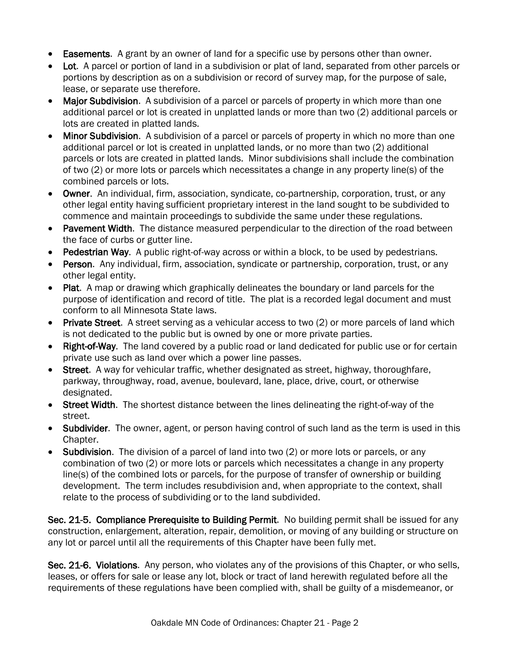- Easements. A grant by an owner of land for a specific use by persons other than owner.
- Lot. A parcel or portion of land in a subdivision or plat of land, separated from other parcels or portions by description as on a subdivision or record of survey map, for the purpose of sale, lease, or separate use therefore.
- Major Subdivision. A subdivision of a parcel or parcels of property in which more than one additional parcel or lot is created in unplatted lands or more than two (2) additional parcels or lots are created in platted lands.
- Minor Subdivision. A subdivision of a parcel or parcels of property in which no more than one additional parcel or lot is created in unplatted lands, or no more than two (2) additional parcels or lots are created in platted lands. Minor subdivisions shall include the combination of two (2) or more lots or parcels which necessitates a change in any property line(s) of the combined parcels or lots.
- Owner. An individual, firm, association, syndicate, co-partnership, corporation, trust, or any other legal entity having sufficient proprietary interest in the land sought to be subdivided to commence and maintain proceedings to subdivide the same under these regulations.
- Pavement Width. The distance measured perpendicular to the direction of the road between the face of curbs or gutter line.
- Pedestrian Way. A public right-of-way across or within a block, to be used by pedestrians.
- Person. Any individual, firm, association, syndicate or partnership, corporation, trust, or any other legal entity.
- Plat. A map or drawing which graphically delineates the boundary or land parcels for the purpose of identification and record of title. The plat is a recorded legal document and must conform to all Minnesota State laws.
- Private Street. A street serving as a vehicular access to two (2) or more parcels of land which is not dedicated to the public but is owned by one or more private parties.
- Right-of-Way. The land covered by a public road or land dedicated for public use or for certain private use such as land over which a power line passes.
- Street. A way for vehicular traffic, whether designated as street, highway, thoroughfare, parkway, throughway, road, avenue, boulevard, lane, place, drive, court, or otherwise designated.
- Street Width. The shortest distance between the lines delineating the right-of-way of the street.
- Subdivider. The owner, agent, or person having control of such land as the term is used in this Chapter.
- Subdivision. The division of a parcel of land into two (2) or more lots or parcels, or any combination of two (2) or more lots or parcels which necessitates a change in any property line(s) of the combined lots or parcels, for the purpose of transfer of ownership or building development. The term includes resubdivision and, when appropriate to the context, shall relate to the process of subdividing or to the land subdivided.

Sec. 21-5. Compliance Prerequisite to Building Permit. No building permit shall be issued for any construction, enlargement, alteration, repair, demolition, or moving of any building or structure on any lot or parcel until all the requirements of this Chapter have been fully met.

Sec. 21-6. Violations. Any person, who violates any of the provisions of this Chapter, or who sells, leases, or offers for sale or lease any lot, block or tract of land herewith regulated before all the requirements of these regulations have been complied with, shall be guilty of a misdemeanor, or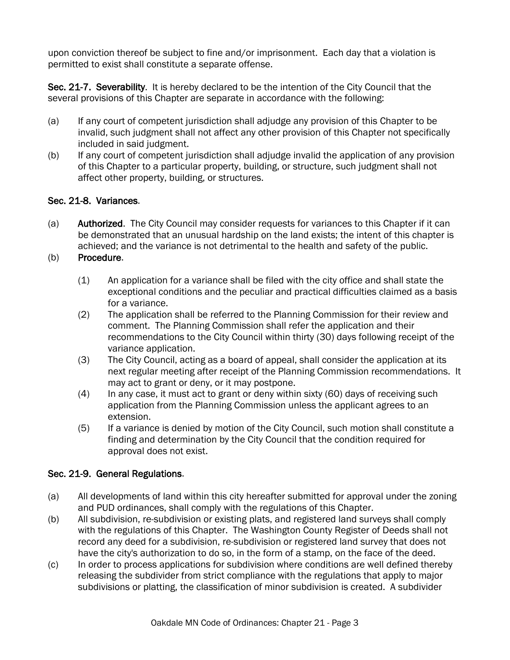upon conviction thereof be subject to fine and/or imprisonment. Each day that a violation is permitted to exist shall constitute a separate offense.

Sec. 21-7. Severability. It is hereby declared to be the intention of the City Council that the several provisions of this Chapter are separate in accordance with the following:

- (a) If any court of competent jurisdiction shall adjudge any provision of this Chapter to be invalid, such judgment shall not affect any other provision of this Chapter not specifically included in said judgment.
- (b) If any court of competent jurisdiction shall adjudge invalid the application of any provision of this Chapter to a particular property, building, or structure, such judgment shall not affect other property, building, or structures.

# Sec. 21-8. Variances.

- (a) **Authorized.** The City Council may consider requests for variances to this Chapter if it can be demonstrated that an unusual hardship on the land exists; the intent of this chapter is achieved; and the variance is not detrimental to the health and safety of the public.
- (b) Procedure.
	- (1) An application for a variance shall be filed with the city office and shall state the exceptional conditions and the peculiar and practical difficulties claimed as a basis for a variance.
	- (2) The application shall be referred to the Planning Commission for their review and comment. The Planning Commission shall refer the application and their recommendations to the City Council within thirty (30) days following receipt of the variance application.
	- (3) The City Council, acting as a board of appeal, shall consider the application at its next regular meeting after receipt of the Planning Commission recommendations. It may act to grant or deny, or it may postpone.
	- (4) In any case, it must act to grant or deny within sixty (60) days of receiving such application from the Planning Commission unless the applicant agrees to an extension.
	- (5) If a variance is denied by motion of the City Council, such motion shall constitute a finding and determination by the City Council that the condition required for approval does not exist.

## Sec. 21-9. General Regulations.

- (a) All developments of land within this city hereafter submitted for approval under the zoning and PUD ordinances, shall comply with the regulations of this Chapter.
- (b) All subdivision, re-subdivision or existing plats, and registered land surveys shall comply with the regulations of this Chapter. The Washington County Register of Deeds shall not record any deed for a subdivision, re-subdivision or registered land survey that does not have the city's authorization to do so, in the form of a stamp, on the face of the deed.
- (c) In order to process applications for subdivision where conditions are well defined thereby releasing the subdivider from strict compliance with the regulations that apply to major subdivisions or platting, the classification of minor subdivision is created. A subdivider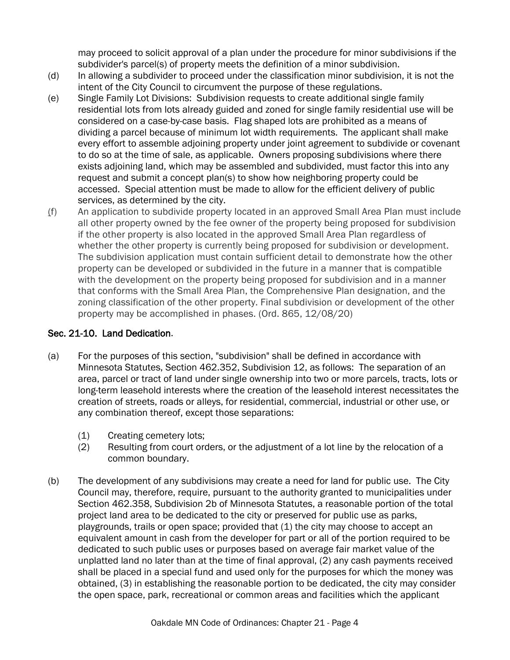may proceed to solicit approval of a plan under the procedure for minor subdivisions if the subdivider's parcel(s) of property meets the definition of a minor subdivision.

- (d) In allowing a subdivider to proceed under the classification minor subdivision, it is not the intent of the City Council to circumvent the purpose of these regulations.
- (e) Single Family Lot Divisions: Subdivision requests to create additional single family residential lots from lots already guided and zoned for single family residential use will be considered on a case-by-case basis. Flag shaped lots are prohibited as a means of dividing a parcel because of minimum lot width requirements. The applicant shall make every effort to assemble adjoining property under joint agreement to subdivide or covenant to do so at the time of sale, as applicable. Owners proposing subdivisions where there exists adjoining land, which may be assembled and subdivided, must factor this into any request and submit a concept plan(s) to show how neighboring property could be accessed. Special attention must be made to allow for the efficient delivery of public services, as determined by the city.
- (f) An application to subdivide property located in an approved Small Area Plan must include all other property owned by the fee owner of the property being proposed for subdivision if the other property is also located in the approved Small Area Plan regardless of whether the other property is currently being proposed for subdivision or development. The subdivision application must contain sufficient detail to demonstrate how the other property can be developed or subdivided in the future in a manner that is compatible with the development on the property being proposed for subdivision and in a manner that conforms with the Small Area Plan, the Comprehensive Plan designation, and the zoning classification of the other property. Final subdivision or development of the other property may be accomplished in phases. (Ord. 865, 12/08/20)

#### Sec. 21-10. Land Dedication.

- (a) For the purposes of this section, "subdivision" shall be defined in accordance with Minnesota Statutes, Section 462.352, Subdivision 12, as follows: The separation of an area, parcel or tract of land under single ownership into two or more parcels, tracts, lots or long-term leasehold interests where the creation of the leasehold interest necessitates the creation of streets, roads or alleys, for residential, commercial, industrial or other use, or any combination thereof, except those separations:
	- (1) Creating cemetery lots;
	- (2) Resulting from court orders, or the adjustment of a lot line by the relocation of a common boundary.
- (b) The development of any subdivisions may create a need for land for public use. The City Council may, therefore, require, pursuant to the authority granted to municipalities under Section 462.358, Subdivision 2b of Minnesota Statutes, a reasonable portion of the total project land area to be dedicated to the city or preserved for public use as parks, playgrounds, trails or open space; provided that (1) the city may choose to accept an equivalent amount in cash from the developer for part or all of the portion required to be dedicated to such public uses or purposes based on average fair market value of the unplatted land no later than at the time of final approval, (2) any cash payments received shall be placed in a special fund and used only for the purposes for which the money was obtained, (3) in establishing the reasonable portion to be dedicated, the city may consider the open space, park, recreational or common areas and facilities which the applicant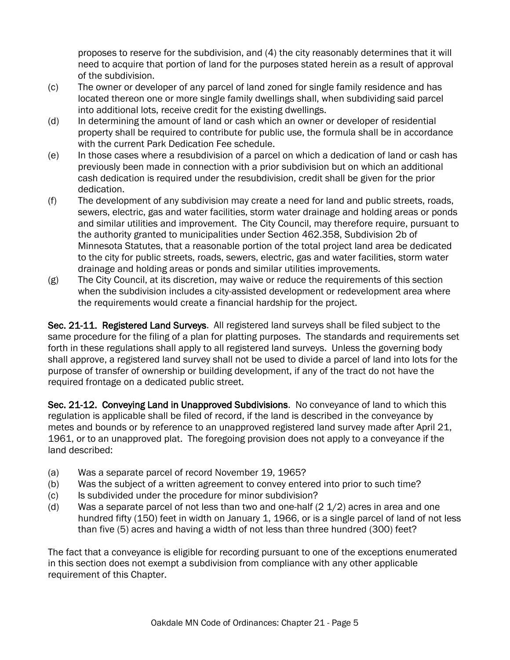proposes to reserve for the subdivision, and (4) the city reasonably determines that it will need to acquire that portion of land for the purposes stated herein as a result of approval of the subdivision.

- (c) The owner or developer of any parcel of land zoned for single family residence and has located thereon one or more single family dwellings shall, when subdividing said parcel into additional lots, receive credit for the existing dwellings.
- (d) In determining the amount of land or cash which an owner or developer of residential property shall be required to contribute for public use, the formula shall be in accordance with the current Park Dedication Fee schedule.
- (e) In those cases where a resubdivision of a parcel on which a dedication of land or cash has previously been made in connection with a prior subdivision but on which an additional cash dedication is required under the resubdivision, credit shall be given for the prior dedication.
- (f) The development of any subdivision may create a need for land and public streets, roads, sewers, electric, gas and water facilities, storm water drainage and holding areas or ponds and similar utilities and improvement. The City Council, may therefore require, pursuant to the authority granted to municipalities under Section 462.358, Subdivision 2b of Minnesota Statutes, that a reasonable portion of the total project land area be dedicated to the city for public streets, roads, sewers, electric, gas and water facilities, storm water drainage and holding areas or ponds and similar utilities improvements.
- (g) The City Council, at its discretion, may waive or reduce the requirements of this section when the subdivision includes a city-assisted development or redevelopment area where the requirements would create a financial hardship for the project.

Sec. 21-11. Registered Land Surveys. All registered land surveys shall be filed subject to the same procedure for the filing of a plan for platting purposes. The standards and requirements set forth in these regulations shall apply to all registered land surveys. Unless the governing body shall approve, a registered land survey shall not be used to divide a parcel of land into lots for the purpose of transfer of ownership or building development, if any of the tract do not have the required frontage on a dedicated public street.

Sec. 21-12. Conveying Land in Unapproved Subdivisions. No conveyance of land to which this regulation is applicable shall be filed of record, if the land is described in the conveyance by metes and bounds or by reference to an unapproved registered land survey made after April 21, 1961, or to an unapproved plat. The foregoing provision does not apply to a conveyance if the land described:

- (a) Was a separate parcel of record November 19, 1965?
- (b) Was the subject of a written agreement to convey entered into prior to such time?
- (c) Is subdivided under the procedure for minor subdivision?
- (d) Was a separate parcel of not less than two and one-half  $(2\ 1/2)$  acres in area and one hundred fifty (150) feet in width on January 1, 1966, or is a single parcel of land of not less than five (5) acres and having a width of not less than three hundred (300) feet?

The fact that a conveyance is eligible for recording pursuant to one of the exceptions enumerated in this section does not exempt a subdivision from compliance with any other applicable requirement of this Chapter.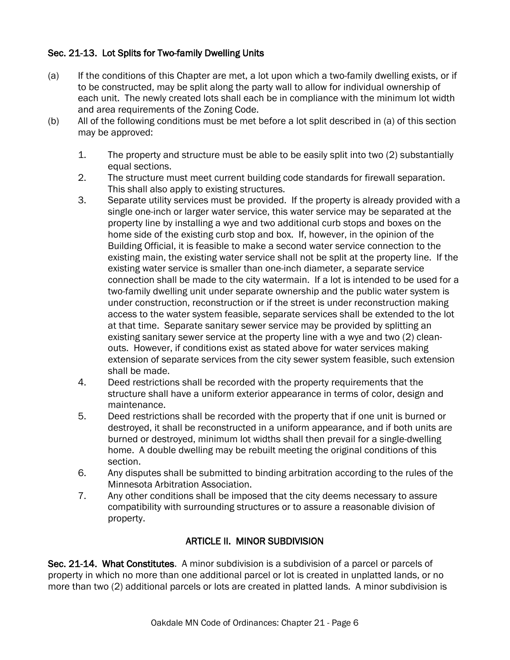## Sec. 21-13. Lot Splits for Two-family Dwelling Units

- (a) If the conditions of this Chapter are met, a lot upon which a two-family dwelling exists, or if to be constructed, may be split along the party wall to allow for individual ownership of each unit. The newly created lots shall each be in compliance with the minimum lot width and area requirements of the Zoning Code.
- (b) All of the following conditions must be met before a lot split described in (a) of this section may be approved:
	- 1. The property and structure must be able to be easily split into two (2) substantially equal sections.
	- 2. The structure must meet current building code standards for firewall separation. This shall also apply to existing structures.
	- 3. Separate utility services must be provided. If the property is already provided with a single one-inch or larger water service, this water service may be separated at the property line by installing a wye and two additional curb stops and boxes on the home side of the existing curb stop and box. If, however, in the opinion of the Building Official, it is feasible to make a second water service connection to the existing main, the existing water service shall not be split at the property line. If the existing water service is smaller than one-inch diameter, a separate service connection shall be made to the city watermain. If a lot is intended to be used for a two-family dwelling unit under separate ownership and the public water system is under construction, reconstruction or if the street is under reconstruction making access to the water system feasible, separate services shall be extended to the lot at that time. Separate sanitary sewer service may be provided by splitting an existing sanitary sewer service at the property line with a wye and two (2) cleanouts. However, if conditions exist as stated above for water services making extension of separate services from the city sewer system feasible, such extension shall be made.
	- 4. Deed restrictions shall be recorded with the property requirements that the structure shall have a uniform exterior appearance in terms of color, design and maintenance.
	- 5. Deed restrictions shall be recorded with the property that if one unit is burned or destroyed, it shall be reconstructed in a uniform appearance, and if both units are burned or destroyed, minimum lot widths shall then prevail for a single-dwelling home. A double dwelling may be rebuilt meeting the original conditions of this section.
	- 6. Any disputes shall be submitted to binding arbitration according to the rules of the Minnesota Arbitration Association.
	- 7. Any other conditions shall be imposed that the city deems necessary to assure compatibility with surrounding structures or to assure a reasonable division of property.

# ARTICLE II. MINOR SUBDIVISION

Sec. 21-14. What Constitutes. A minor subdivision is a subdivision of a parcel or parcels of property in which no more than one additional parcel or lot is created in unplatted lands, or no more than two (2) additional parcels or lots are created in platted lands. A minor subdivision is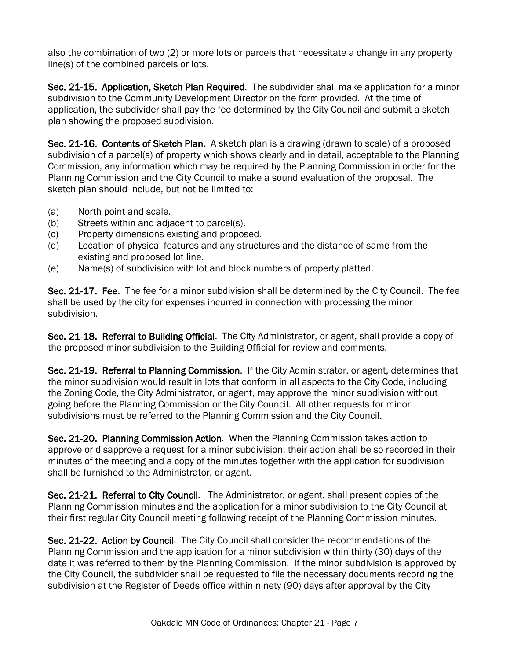also the combination of two (2) or more lots or parcels that necessitate a change in any property line(s) of the combined parcels or lots.

Sec. 21-15. Application, Sketch Plan Required. The subdivider shall make application for a minor subdivision to the Community Development Director on the form provided. At the time of application, the subdivider shall pay the fee determined by the City Council and submit a sketch plan showing the proposed subdivision.

Sec. 21-16. Contents of Sketch Plan. A sketch plan is a drawing (drawn to scale) of a proposed subdivision of a parcel(s) of property which shows clearly and in detail, acceptable to the Planning Commission, any information which may be required by the Planning Commission in order for the Planning Commission and the City Council to make a sound evaluation of the proposal. The sketch plan should include, but not be limited to:

- (a) North point and scale.
- (b) Streets within and adjacent to parcel(s).
- (c) Property dimensions existing and proposed.
- (d) Location of physical features and any structures and the distance of same from the existing and proposed lot line.
- (e) Name(s) of subdivision with lot and block numbers of property platted.

Sec. 21-17. Fee. The fee for a minor subdivision shall be determined by the City Council. The fee shall be used by the city for expenses incurred in connection with processing the minor subdivision.

Sec. 21-18. Referral to Building Official. The City Administrator, or agent, shall provide a copy of the proposed minor subdivision to the Building Official for review and comments.

Sec. 21-19. Referral to Planning Commission. If the City Administrator, or agent, determines that the minor subdivision would result in lots that conform in all aspects to the City Code, including the Zoning Code, the City Administrator, or agent, may approve the minor subdivision without going before the Planning Commission or the City Council. All other requests for minor subdivisions must be referred to the Planning Commission and the City Council.

Sec. 21-20. Planning Commission Action. When the Planning Commission takes action to approve or disapprove a request for a minor subdivision, their action shall be so recorded in their minutes of the meeting and a copy of the minutes together with the application for subdivision shall be furnished to the Administrator, or agent.

Sec. 21-21. Referral to City Council. The Administrator, or agent, shall present copies of the Planning Commission minutes and the application for a minor subdivision to the City Council at their first regular City Council meeting following receipt of the Planning Commission minutes.

Sec. 21-22. Action by Council. The City Council shall consider the recommendations of the Planning Commission and the application for a minor subdivision within thirty (30) days of the date it was referred to them by the Planning Commission. If the minor subdivision is approved by the City Council, the subdivider shall be requested to file the necessary documents recording the subdivision at the Register of Deeds office within ninety (90) days after approval by the City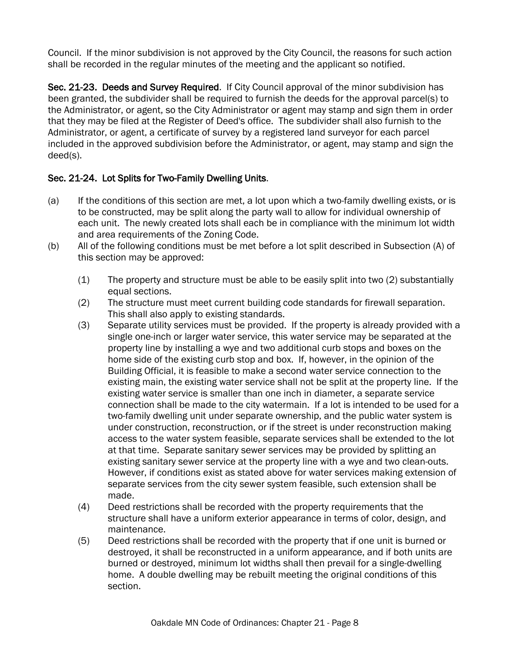Council. If the minor subdivision is not approved by the City Council, the reasons for such action shall be recorded in the regular minutes of the meeting and the applicant so notified.

Sec. 21-23. Deeds and Survey Required. If City Council approval of the minor subdivision has been granted, the subdivider shall be required to furnish the deeds for the approval parcel(s) to the Administrator, or agent, so the City Administrator or agent may stamp and sign them in order that they may be filed at the Register of Deed's office. The subdivider shall also furnish to the Administrator, or agent, a certificate of survey by a registered land surveyor for each parcel included in the approved subdivision before the Administrator, or agent, may stamp and sign the deed(s).

## Sec. 21-24. Lot Splits for Two-Family Dwelling Units.

- (a) If the conditions of this section are met, a lot upon which a two-family dwelling exists, or is to be constructed, may be split along the party wall to allow for individual ownership of each unit. The newly created lots shall each be in compliance with the minimum lot width and area requirements of the Zoning Code.
- (b) All of the following conditions must be met before a lot split described in Subsection (A) of this section may be approved:
	- (1) The property and structure must be able to be easily split into two (2) substantially equal sections.
	- (2) The structure must meet current building code standards for firewall separation. This shall also apply to existing standards.
	- (3) Separate utility services must be provided. If the property is already provided with a single one-inch or larger water service, this water service may be separated at the property line by installing a wye and two additional curb stops and boxes on the home side of the existing curb stop and box. If, however, in the opinion of the Building Official, it is feasible to make a second water service connection to the existing main, the existing water service shall not be split at the property line. If the existing water service is smaller than one inch in diameter, a separate service connection shall be made to the city watermain. If a lot is intended to be used for a two-family dwelling unit under separate ownership, and the public water system is under construction, reconstruction, or if the street is under reconstruction making access to the water system feasible, separate services shall be extended to the lot at that time. Separate sanitary sewer services may be provided by splitting an existing sanitary sewer service at the property line with a wye and two clean-outs. However, if conditions exist as stated above for water services making extension of separate services from the city sewer system feasible, such extension shall be made.
	- (4) Deed restrictions shall be recorded with the property requirements that the structure shall have a uniform exterior appearance in terms of color, design, and maintenance.
	- (5) Deed restrictions shall be recorded with the property that if one unit is burned or destroyed, it shall be reconstructed in a uniform appearance, and if both units are burned or destroyed, minimum lot widths shall then prevail for a single-dwelling home. A double dwelling may be rebuilt meeting the original conditions of this section.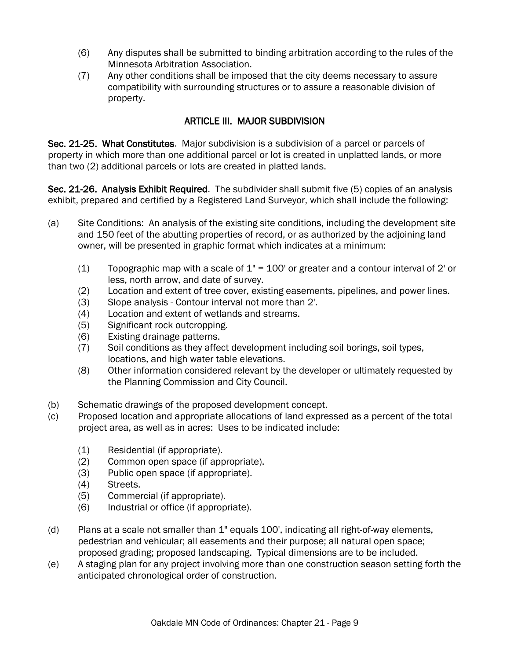- (6) Any disputes shall be submitted to binding arbitration according to the rules of the Minnesota Arbitration Association.
- (7) Any other conditions shall be imposed that the city deems necessary to assure compatibility with surrounding structures or to assure a reasonable division of property.

## ARTICLE III. MAJOR SUBDIVISION

Sec. 21-25. What Constitutes. Major subdivision is a subdivision of a parcel or parcels of property in which more than one additional parcel or lot is created in unplatted lands, or more than two (2) additional parcels or lots are created in platted lands.

Sec. 21-26. Analysis Exhibit Required. The subdivider shall submit five (5) copies of an analysis exhibit, prepared and certified by a Registered Land Surveyor, which shall include the following:

- (a) Site Conditions: An analysis of the existing site conditions, including the development site and 150 feet of the abutting properties of record, or as authorized by the adjoining land owner, will be presented in graphic format which indicates at a minimum:
	- (1) Topographic map with a scale of  $1'' = 100'$  or greater and a contour interval of 2' or less, north arrow, and date of survey.
	- (2) Location and extent of tree cover, existing easements, pipelines, and power lines.
	- (3) Slope analysis Contour interval not more than 2'.
	- (4) Location and extent of wetlands and streams.
	- (5) Significant rock outcropping.
	- (6) Existing drainage patterns.
	- (7) Soil conditions as they affect development including soil borings, soil types, locations, and high water table elevations.
	- (8) Other information considered relevant by the developer or ultimately requested by the Planning Commission and City Council.
- (b) Schematic drawings of the proposed development concept.
- (c) Proposed location and appropriate allocations of land expressed as a percent of the total project area, as well as in acres: Uses to be indicated include:
	- (1) Residential (if appropriate).
	- (2) Common open space (if appropriate).
	- (3) Public open space (if appropriate).
	- (4) Streets.
	- (5) Commercial (if appropriate).
	- (6) Industrial or office (if appropriate).
- (d) Plans at a scale not smaller than 1" equals 100', indicating all right-of-way elements, pedestrian and vehicular; all easements and their purpose; all natural open space; proposed grading; proposed landscaping. Typical dimensions are to be included.
- (e) A staging plan for any project involving more than one construction season setting forth the anticipated chronological order of construction.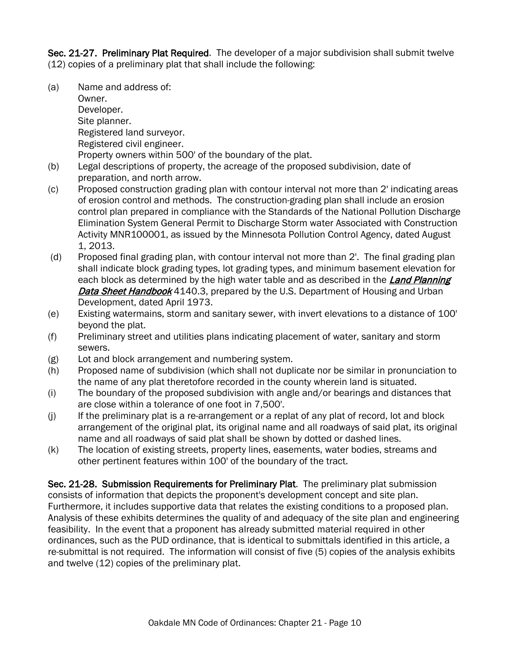Sec. 21-27. Preliminary Plat Required. The developer of a major subdivision shall submit twelve (12) copies of a preliminary plat that shall include the following:

- (a) Name and address of: Owner. Developer. Site planner. Registered land surveyor. Registered civil engineer. Property owners within 500' of the boundary of the plat.
- (b) Legal descriptions of property, the acreage of the proposed subdivision, date of preparation, and north arrow.
- (c) Proposed construction grading plan with contour interval not more than 2' indicating areas of erosion control and methods. The construction-grading plan shall include an erosion control plan prepared in compliance with the Standards of the National Pollution Discharge Elimination System General Permit to Discharge Storm water Associated with Construction Activity MNR100001, as issued by the Minnesota Pollution Control Agency, dated August 1, 2013.
- (d) Proposed final grading plan, with contour interval not more than 2'. The final grading plan shall indicate block grading types, lot grading types, and minimum basement elevation for each block as determined by the high water table and as described in the Land Planning Data Sheet Handbook 4140.3, prepared by the U.S. Department of Housing and Urban Development, dated April 1973.
- (e) Existing watermains, storm and sanitary sewer, with invert elevations to a distance of 100' beyond the plat.
- (f) Preliminary street and utilities plans indicating placement of water, sanitary and storm sewers.
- (g) Lot and block arrangement and numbering system.
- (h) Proposed name of subdivision (which shall not duplicate nor be similar in pronunciation to the name of any plat theretofore recorded in the county wherein land is situated.
- (i) The boundary of the proposed subdivision with angle and/or bearings and distances that are close within a tolerance of one foot in 7,500'.
- (j) If the preliminary plat is a re-arrangement or a replat of any plat of record, lot and block arrangement of the original plat, its original name and all roadways of said plat, its original name and all roadways of said plat shall be shown by dotted or dashed lines.
- (k) The location of existing streets, property lines, easements, water bodies, streams and other pertinent features within 100' of the boundary of the tract.

Sec. 21-28. Submission Requirements for Preliminary Plat. The preliminary plat submission consists of information that depicts the proponent's development concept and site plan. Furthermore, it includes supportive data that relates the existing conditions to a proposed plan. Analysis of these exhibits determines the quality of and adequacy of the site plan and engineering feasibility. In the event that a proponent has already submitted material required in other ordinances, such as the PUD ordinance, that is identical to submittals identified in this article, a re-submittal is not required. The information will consist of five (5) copies of the analysis exhibits and twelve (12) copies of the preliminary plat.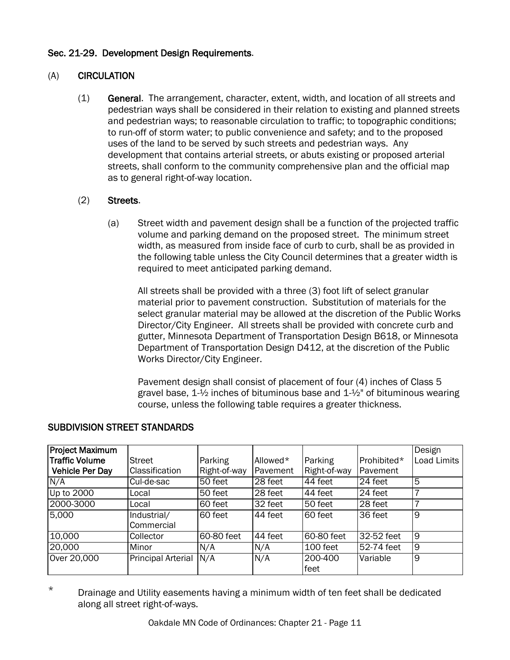## Sec. 21-29. Development Design Requirements.

## (A) CIRCULATION

(1) General. The arrangement, character, extent, width, and location of all streets and pedestrian ways shall be considered in their relation to existing and planned streets and pedestrian ways; to reasonable circulation to traffic; to topographic conditions; to run-off of storm water; to public convenience and safety; and to the proposed uses of the land to be served by such streets and pedestrian ways. Any development that contains arterial streets, or abuts existing or proposed arterial streets, shall conform to the community comprehensive plan and the official map as to general right-of-way location.

#### (2) Streets.

(a) Street width and pavement design shall be a function of the projected traffic volume and parking demand on the proposed street. The minimum street width, as measured from inside face of curb to curb, shall be as provided in the following table unless the City Council determines that a greater width is required to meet anticipated parking demand.

All streets shall be provided with a three (3) foot lift of select granular material prior to pavement construction. Substitution of materials for the select granular material may be allowed at the discretion of the Public Works Director/City Engineer. All streets shall be provided with concrete curb and gutter, Minnesota Department of Transportation Design B618, or Minnesota Department of Transportation Design D412, at the discretion of the Public Works Director/City Engineer.

Pavement design shall consist of placement of four (4) inches of Class 5 gravel base,  $1-\frac{1}{2}$  inches of bituminous base and  $1-\frac{1}{2}$ " of bituminous wearing course, unless the following table requires a greater thickness.

| <b>Project Maximum</b> |                          |              |          |              |                          | Design      |
|------------------------|--------------------------|--------------|----------|--------------|--------------------------|-------------|
| <b>Traffic Volume</b>  | <b>Street</b>            | Parking      | Allowed* | Parking      | Prohibited*              | Load Limits |
| Vehicle Per Day        | Classification           | Right-of-way | Pavement | Right-of-way | Pavement                 |             |
| N/A                    | Cul-de-sac               | 50 feet      | 28 feet  | 44 feet      | 24 feet                  | 5           |
| Up to 2000             | Local                    | 50 feet      | 28 feet  | 44 feet      | 24 feet                  | 7           |
| 2000-3000              | Local                    | 60 feet      | 32 feet  | 50 feet      | 28 feet                  |             |
| 5,000                  | Industrial/              | 60 feet      | 44 feet  | 60 feet      | 36 feet                  | 9           |
|                        | Commercial               |              |          |              |                          |             |
| 10,000                 | Collector                | 60-80 feet   | 44 feet  | 60-80 feet   | 32-52 feet               | 9           |
| 20,000                 | Minor                    | N/A          | N/A      | 100 feet     | $\overline{52}$ -74 feet | 9           |
| Over 20,000            | Principal Arterial   N/A |              | N/A      | 200-400      | Variable                 | 9           |
|                        |                          |              |          | feet         |                          |             |

#### SUBDIVISION STREET STANDARDS

\* Drainage and Utility easements having a minimum width of ten feet shall be dedicated along all street right-of-ways.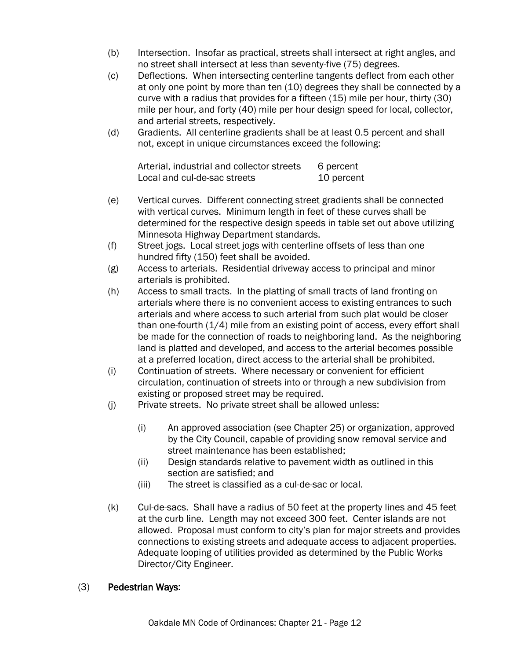- (b) Intersection. Insofar as practical, streets shall intersect at right angles, and no street shall intersect at less than seventy-five (75) degrees.
- (c) Deflections. When intersecting centerline tangents deflect from each other at only one point by more than ten (10) degrees they shall be connected by a curve with a radius that provides for a fifteen (15) mile per hour, thirty (30) mile per hour, and forty (40) mile per hour design speed for local, collector, and arterial streets, respectively.
- (d) Gradients. All centerline gradients shall be at least 0.5 percent and shall not, except in unique circumstances exceed the following:

| Arterial, industrial and collector streets | 6 percent  |
|--------------------------------------------|------------|
| Local and cul-de-sac streets               | 10 percent |

- (e) Vertical curves. Different connecting street gradients shall be connected with vertical curves. Minimum length in feet of these curves shall be determined for the respective design speeds in table set out above utilizing Minnesota Highway Department standards.
- (f) Street jogs. Local street jogs with centerline offsets of less than one hundred fifty (150) feet shall be avoided.
- (g) Access to arterials. Residential driveway access to principal and minor arterials is prohibited.
- (h) Access to small tracts. In the platting of small tracts of land fronting on arterials where there is no convenient access to existing entrances to such arterials and where access to such arterial from such plat would be closer than one-fourth (1/4) mile from an existing point of access, every effort shall be made for the connection of roads to neighboring land. As the neighboring land is platted and developed, and access to the arterial becomes possible at a preferred location, direct access to the arterial shall be prohibited.
- (i) Continuation of streets. Where necessary or convenient for efficient circulation, continuation of streets into or through a new subdivision from existing or proposed street may be required.
- (j) Private streets. No private street shall be allowed unless:
	- (i) An approved association (see Chapter 25) or organization, approved by the City Council, capable of providing snow removal service and street maintenance has been established;
	- (ii) Design standards relative to pavement width as outlined in this section are satisfied; and
	- (iii) The street is classified as a cul-de-sac or local.
- (k) Cul-de-sacs. Shall have a radius of 50 feet at the property lines and 45 feet at the curb line. Length may not exceed 300 feet. Center islands are not allowed. Proposal must conform to city's plan for major streets and provides connections to existing streets and adequate access to adjacent properties. Adequate looping of utilities provided as determined by the Public Works Director/City Engineer.

#### (3) Pedestrian Ways: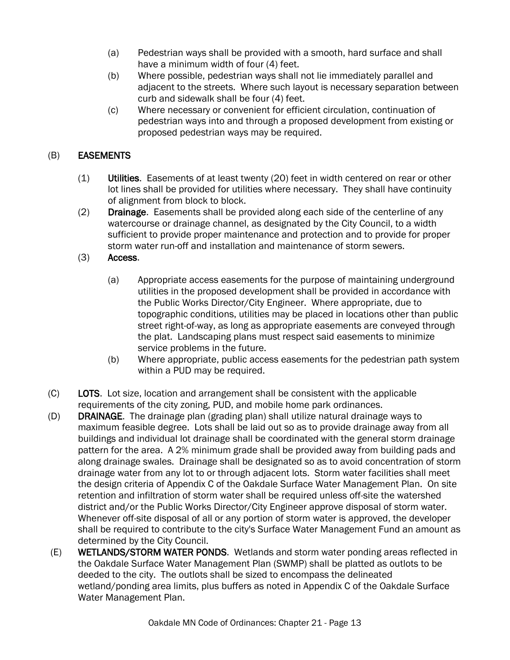- (a) Pedestrian ways shall be provided with a smooth, hard surface and shall have a minimum width of four (4) feet.
- (b) Where possible, pedestrian ways shall not lie immediately parallel and adjacent to the streets. Where such layout is necessary separation between curb and sidewalk shall be four (4) feet.
- (c) Where necessary or convenient for efficient circulation, continuation of pedestrian ways into and through a proposed development from existing or proposed pedestrian ways may be required.

## (B) EASEMENTS

- (1) Utilities. Easements of at least twenty (20) feet in width centered on rear or other lot lines shall be provided for utilities where necessary. They shall have continuity of alignment from block to block.
- (2) Drainage. Easements shall be provided along each side of the centerline of any watercourse or drainage channel, as designated by the City Council, to a width sufficient to provide proper maintenance and protection and to provide for proper storm water run-off and installation and maintenance of storm sewers.
- (3) Access.
	- (a) Appropriate access easements for the purpose of maintaining underground utilities in the proposed development shall be provided in accordance with the Public Works Director/City Engineer. Where appropriate, due to topographic conditions, utilities may be placed in locations other than public street right-of-way, as long as appropriate easements are conveyed through the plat. Landscaping plans must respect said easements to minimize service problems in the future.
	- (b) Where appropriate, public access easements for the pedestrian path system within a PUD may be required.
- (C) LOTS. Lot size, location and arrangement shall be consistent with the applicable requirements of the city zoning, PUD, and mobile home park ordinances.
- (D) DRAINAGE. The drainage plan (grading plan) shall utilize natural drainage ways to maximum feasible degree. Lots shall be laid out so as to provide drainage away from all buildings and individual lot drainage shall be coordinated with the general storm drainage pattern for the area. A 2% minimum grade shall be provided away from building pads and along drainage swales. Drainage shall be designated so as to avoid concentration of storm drainage water from any lot to or through adjacent lots. Storm water facilities shall meet the design criteria of Appendix C of the Oakdale Surface Water Management Plan. On site retention and infiltration of storm water shall be required unless off-site the watershed district and/or the Public Works Director/City Engineer approve disposal of storm water. Whenever off-site disposal of all or any portion of storm water is approved, the developer shall be required to contribute to the city's Surface Water Management Fund an amount as determined by the City Council.
- (E) WETLANDS/STORM WATER PONDS. Wetlands and storm water ponding areas reflected in the Oakdale Surface Water Management Plan (SWMP) shall be platted as outlots to be deeded to the city. The outlots shall be sized to encompass the delineated wetland/ponding area limits, plus buffers as noted in Appendix C of the Oakdale Surface Water Management Plan.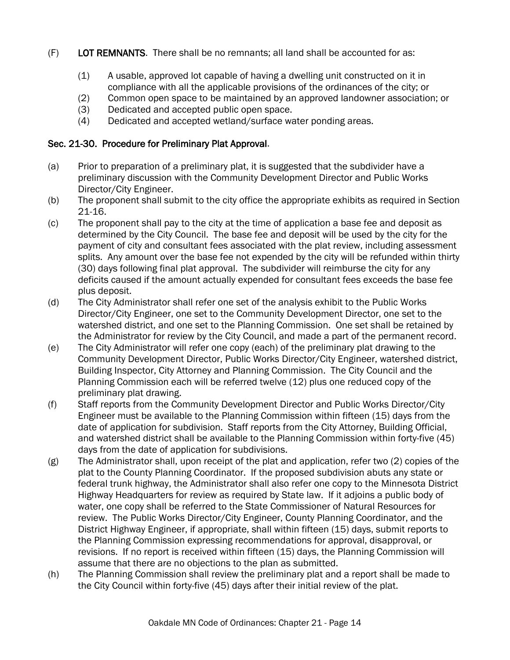- (F) LOT REMNANTS. There shall be no remnants; all land shall be accounted for as:
	- (1) A usable, approved lot capable of having a dwelling unit constructed on it in compliance with all the applicable provisions of the ordinances of the city; or
	- (2) Common open space to be maintained by an approved landowner association; or
	- (3) Dedicated and accepted public open space.
	- (4) Dedicated and accepted wetland/surface water ponding areas.

## Sec. 21-30. Procedure for Preliminary Plat Approval.

- (a) Prior to preparation of a preliminary plat, it is suggested that the subdivider have a preliminary discussion with the Community Development Director and Public Works Director/City Engineer.
- (b) The proponent shall submit to the city office the appropriate exhibits as required in Section 21-16.
- (c) The proponent shall pay to the city at the time of application a base fee and deposit as determined by the City Council. The base fee and deposit will be used by the city for the payment of city and consultant fees associated with the plat review, including assessment splits. Any amount over the base fee not expended by the city will be refunded within thirty (30) days following final plat approval. The subdivider will reimburse the city for any deficits caused if the amount actually expended for consultant fees exceeds the base fee plus deposit.
- (d) The City Administrator shall refer one set of the analysis exhibit to the Public Works Director/City Engineer, one set to the Community Development Director, one set to the watershed district, and one set to the Planning Commission. One set shall be retained by the Administrator for review by the City Council, and made a part of the permanent record.
- (e) The City Administrator will refer one copy (each) of the preliminary plat drawing to the Community Development Director, Public Works Director/City Engineer, watershed district, Building Inspector, City Attorney and Planning Commission. The City Council and the Planning Commission each will be referred twelve (12) plus one reduced copy of the preliminary plat drawing.
- (f) Staff reports from the Community Development Director and Public Works Director/City Engineer must be available to the Planning Commission within fifteen (15) days from the date of application for subdivision. Staff reports from the City Attorney, Building Official, and watershed district shall be available to the Planning Commission within forty-five (45) days from the date of application for subdivisions.
- (g) The Administrator shall, upon receipt of the plat and application, refer two (2) copies of the plat to the County Planning Coordinator. If the proposed subdivision abuts any state or federal trunk highway, the Administrator shall also refer one copy to the Minnesota District Highway Headquarters for review as required by State law. If it adjoins a public body of water, one copy shall be referred to the State Commissioner of Natural Resources for review. The Public Works Director/City Engineer, County Planning Coordinator, and the District Highway Engineer, if appropriate, shall within fifteen (15) days, submit reports to the Planning Commission expressing recommendations for approval, disapproval, or revisions. If no report is received within fifteen (15) days, the Planning Commission will assume that there are no objections to the plan as submitted.
- (h) The Planning Commission shall review the preliminary plat and a report shall be made to the City Council within forty-five (45) days after their initial review of the plat.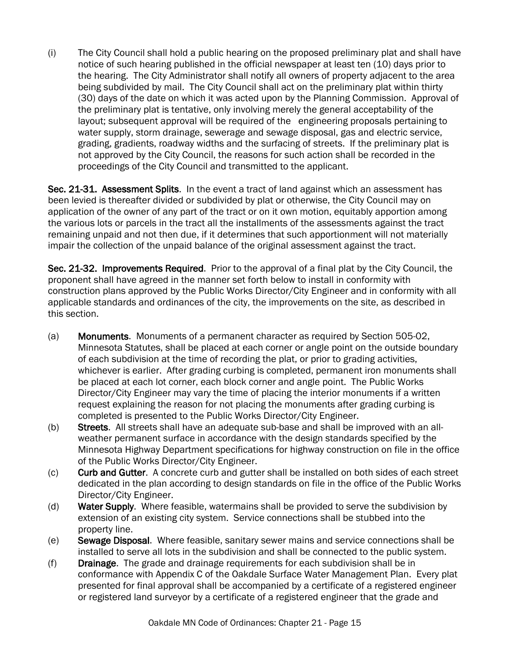(i) The City Council shall hold a public hearing on the proposed preliminary plat and shall have notice of such hearing published in the official newspaper at least ten (10) days prior to the hearing. The City Administrator shall notify all owners of property adjacent to the area being subdivided by mail. The City Council shall act on the preliminary plat within thirty (30) days of the date on which it was acted upon by the Planning Commission. Approval of the preliminary plat is tentative, only involving merely the general acceptability of the layout; subsequent approval will be required of the engineering proposals pertaining to water supply, storm drainage, sewerage and sewage disposal, gas and electric service, grading, gradients, roadway widths and the surfacing of streets. If the preliminary plat is not approved by the City Council, the reasons for such action shall be recorded in the proceedings of the City Council and transmitted to the applicant.

Sec. 21-31. Assessment Splits. In the event a tract of land against which an assessment has been levied is thereafter divided or subdivided by plat or otherwise, the City Council may on application of the owner of any part of the tract or on it own motion, equitably apportion among the various lots or parcels in the tract all the installments of the assessments against the tract remaining unpaid and not then due, if it determines that such apportionment will not materially impair the collection of the unpaid balance of the original assessment against the tract.

Sec. 21-32. Improvements Required. Prior to the approval of a final plat by the City Council, the proponent shall have agreed in the manner set forth below to install in conformity with construction plans approved by the Public Works Director/City Engineer and in conformity with all applicable standards and ordinances of the city, the improvements on the site, as described in this section.

- (a) Monuments. Monuments of a permanent character as required by Section 505-02, Minnesota Statutes, shall be placed at each corner or angle point on the outside boundary of each subdivision at the time of recording the plat, or prior to grading activities, whichever is earlier. After grading curbing is completed, permanent iron monuments shall be placed at each lot corner, each block corner and angle point. The Public Works Director/City Engineer may vary the time of placing the interior monuments if a written request explaining the reason for not placing the monuments after grading curbing is completed is presented to the Public Works Director/City Engineer.
- (b) Streets. All streets shall have an adequate sub-base and shall be improved with an allweather permanent surface in accordance with the design standards specified by the Minnesota Highway Department specifications for highway construction on file in the office of the Public Works Director/City Engineer.
- (c) Curb and Gutter. A concrete curb and gutter shall be installed on both sides of each street dedicated in the plan according to design standards on file in the office of the Public Works Director/City Engineer.
- (d) Water Supply. Where feasible, watermains shall be provided to serve the subdivision by extension of an existing city system. Service connections shall be stubbed into the property line.
- (e) Sewage Disposal. Where feasible, sanitary sewer mains and service connections shall be installed to serve all lots in the subdivision and shall be connected to the public system.
- (f) Drainage. The grade and drainage requirements for each subdivision shall be in conformance with Appendix C of the Oakdale Surface Water Management Plan. Every plat presented for final approval shall be accompanied by a certificate of a registered engineer or registered land surveyor by a certificate of a registered engineer that the grade and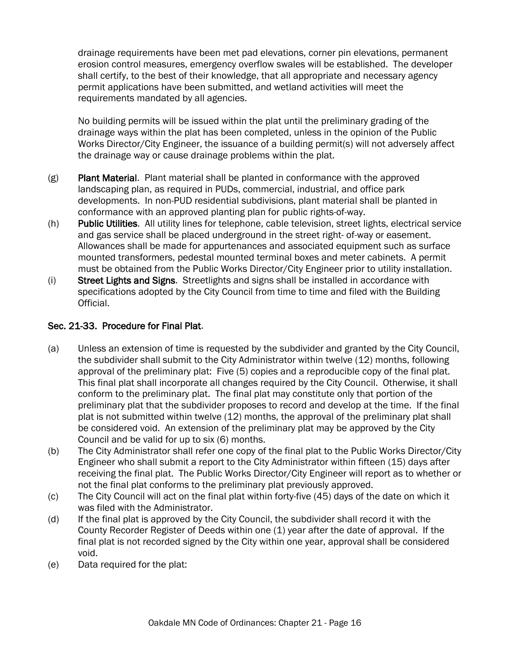drainage requirements have been met pad elevations, corner pin elevations, permanent erosion control measures, emergency overflow swales will be established. The developer shall certify, to the best of their knowledge, that all appropriate and necessary agency permit applications have been submitted, and wetland activities will meet the requirements mandated by all agencies.

No building permits will be issued within the plat until the preliminary grading of the drainage ways within the plat has been completed, unless in the opinion of the Public Works Director/City Engineer, the issuance of a building permit(s) will not adversely affect the drainage way or cause drainage problems within the plat.

- (g) Plant Material. Plant material shall be planted in conformance with the approved landscaping plan, as required in PUDs, commercial, industrial, and office park developments. In non-PUD residential subdivisions, plant material shall be planted in conformance with an approved planting plan for public rights-of-way.
- (h) Public Utilities. All utility lines for telephone, cable television, street lights, electrical service and gas service shall be placed underground in the street right- of-way or easement. Allowances shall be made for appurtenances and associated equipment such as surface mounted transformers, pedestal mounted terminal boxes and meter cabinets. A permit must be obtained from the Public Works Director/City Engineer prior to utility installation.
- (i) Street Lights and Signs. Streetlights and signs shall be installed in accordance with specifications adopted by the City Council from time to time and filed with the Building Official.

## Sec. 21-33. Procedure for Final Plat.

- (a) Unless an extension of time is requested by the subdivider and granted by the City Council, the subdivider shall submit to the City Administrator within twelve (12) months, following approval of the preliminary plat: Five (5) copies and a reproducible copy of the final plat. This final plat shall incorporate all changes required by the City Council. Otherwise, it shall conform to the preliminary plat. The final plat may constitute only that portion of the preliminary plat that the subdivider proposes to record and develop at the time. If the final plat is not submitted within twelve (12) months, the approval of the preliminary plat shall be considered void. An extension of the preliminary plat may be approved by the City Council and be valid for up to six (6) months.
- (b) The City Administrator shall refer one copy of the final plat to the Public Works Director/City Engineer who shall submit a report to the City Administrator within fifteen (15) days after receiving the final plat. The Public Works Director/City Engineer will report as to whether or not the final plat conforms to the preliminary plat previously approved.
- (c) The City Council will act on the final plat within forty-five (45) days of the date on which it was filed with the Administrator.
- (d) If the final plat is approved by the City Council, the subdivider shall record it with the County Recorder Register of Deeds within one (1) year after the date of approval. If the final plat is not recorded signed by the City within one year, approval shall be considered void.
- (e) Data required for the plat: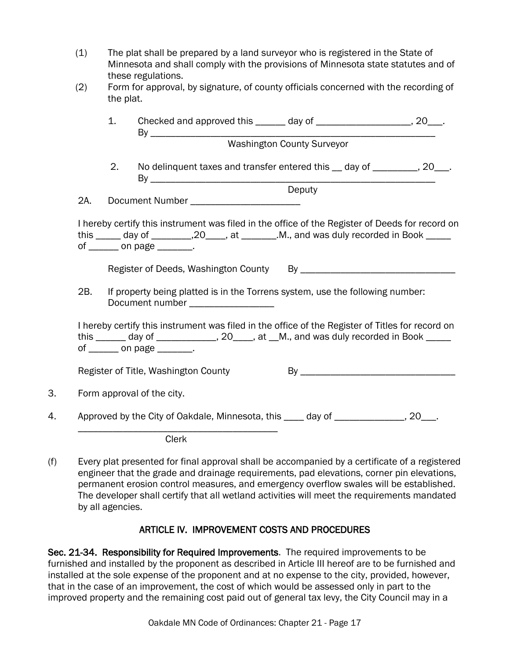| (1) |                            | The plat shall be prepared by a land surveyor who is registered in the State of<br>Minnesota and shall comply with the provisions of Minnesota state statutes and of                                                                                                           |        |  |  |  |  |  |  |
|-----|----------------------------|--------------------------------------------------------------------------------------------------------------------------------------------------------------------------------------------------------------------------------------------------------------------------------|--------|--|--|--|--|--|--|
| (2) |                            | these regulations.<br>Form for approval, by signature, of county officials concerned with the recording of<br>the plat.                                                                                                                                                        |        |  |  |  |  |  |  |
|     | 1.                         | Checked and approved this ______ day of _______________________, 20___.                                                                                                                                                                                                        |        |  |  |  |  |  |  |
|     | Washington County Surveyor |                                                                                                                                                                                                                                                                                |        |  |  |  |  |  |  |
|     | 2.                         | No delinquent taxes and transfer entered this __ day of _________, 20___.                                                                                                                                                                                                      |        |  |  |  |  |  |  |
|     |                            |                                                                                                                                                                                                                                                                                | Deputy |  |  |  |  |  |  |
| 2A. |                            | Document Number ________________________                                                                                                                                                                                                                                       |        |  |  |  |  |  |  |
| 2B. |                            | If property being platted is in the Torrens system, use the following number:<br>Document number _________________                                                                                                                                                             |        |  |  |  |  |  |  |
|     |                            | I hereby certify this instrument was filed in the office of the Register of Titles for record on<br>this ______ day of _____________, 20____, at __M., and was duly recorded in Book _____<br>of $\frac{1}{\sqrt{1-\frac{1}{2}}}\$ on page $\frac{1}{\sqrt{1-\frac{1}{2}}}\$ . |        |  |  |  |  |  |  |
|     |                            | Register of Title, Washington County                                                                                                                                                                                                                                           |        |  |  |  |  |  |  |
|     |                            | Form approval of the city.                                                                                                                                                                                                                                                     |        |  |  |  |  |  |  |
|     |                            | Approved by the City of Oakdale, Minnesota, this ____ day of _____________, 20___.                                                                                                                                                                                             |        |  |  |  |  |  |  |
|     |                            | <b>Clerk</b>                                                                                                                                                                                                                                                                   |        |  |  |  |  |  |  |
|     |                            | Every plat presented for final approval shall be accompanied by a certificate of a registered<br>engineer that the grade and drainage requirements, nad elevations, corner nin elevations                                                                                      |        |  |  |  |  |  |  |

engineer that the grade and drainage requirements, pad elevations, corner pin elevations, permanent erosion control measures, and emergency overflow swales will be established. The developer shall certify that all wetland activities will meet the requirements mandated by all agencies.

## ARTICLE IV. IMPROVEMENT COSTS AND PROCEDURES

Sec. 21-34. Responsibility for Required Improvements. The required improvements to be furnished and installed by the proponent as described in Article III hereof are to be furnished and installed at the sole expense of the proponent and at no expense to the city, provided, however, that in the case of an improvement, the cost of which would be assessed only in part to the improved property and the remaining cost paid out of general tax levy, the City Council may in a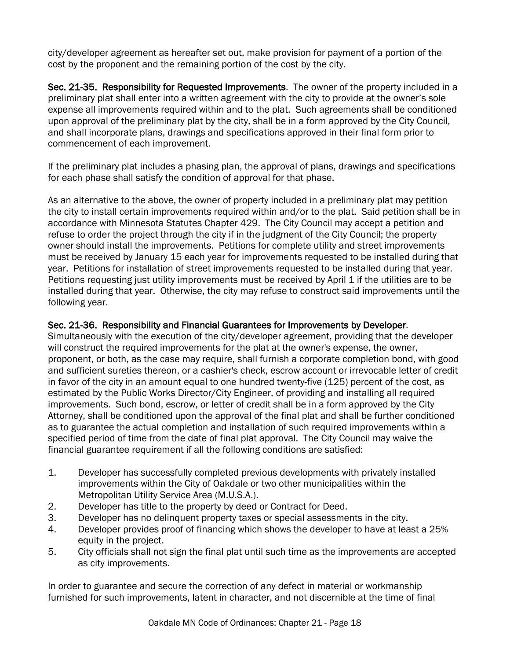city/developer agreement as hereafter set out, make provision for payment of a portion of the cost by the proponent and the remaining portion of the cost by the city.

Sec. 21-35. Responsibility for Requested Improvements. The owner of the property included in a preliminary plat shall enter into a written agreement with the city to provide at the owner's sole expense all improvements required within and to the plat. Such agreements shall be conditioned upon approval of the preliminary plat by the city, shall be in a form approved by the City Council, and shall incorporate plans, drawings and specifications approved in their final form prior to commencement of each improvement.

If the preliminary plat includes a phasing plan, the approval of plans, drawings and specifications for each phase shall satisfy the condition of approval for that phase.

As an alternative to the above, the owner of property included in a preliminary plat may petition the city to install certain improvements required within and/or to the plat. Said petition shall be in accordance with Minnesota Statutes Chapter 429. The City Council may accept a petition and refuse to order the project through the city if in the judgment of the City Council; the property owner should install the improvements. Petitions for complete utility and street improvements must be received by January 15 each year for improvements requested to be installed during that year. Petitions for installation of street improvements requested to be installed during that year. Petitions requesting just utility improvements must be received by April 1 if the utilities are to be installed during that year. Otherwise, the city may refuse to construct said improvements until the following year.

## Sec. 21-36. Responsibility and Financial Guarantees for Improvements by Developer.

Simultaneously with the execution of the city/developer agreement, providing that the developer will construct the required improvements for the plat at the owner's expense, the owner, proponent, or both, as the case may require, shall furnish a corporate completion bond, with good and sufficient sureties thereon, or a cashier's check, escrow account or irrevocable letter of credit in favor of the city in an amount equal to one hundred twenty-five (125) percent of the cost, as estimated by the Public Works Director/City Engineer, of providing and installing all required improvements. Such bond, escrow, or letter of credit shall be in a form approved by the City Attorney, shall be conditioned upon the approval of the final plat and shall be further conditioned as to guarantee the actual completion and installation of such required improvements within a specified period of time from the date of final plat approval. The City Council may waive the financial guarantee requirement if all the following conditions are satisfied:

- 1. Developer has successfully completed previous developments with privately installed improvements within the City of Oakdale or two other municipalities within the Metropolitan Utility Service Area (M.U.S.A.).
- 2. Developer has title to the property by deed or Contract for Deed.
- 3. Developer has no delinquent property taxes or special assessments in the city.
- 4. Developer provides proof of financing which shows the developer to have at least a 25% equity in the project.
- 5. City officials shall not sign the final plat until such time as the improvements are accepted as city improvements.

In order to guarantee and secure the correction of any defect in material or workmanship furnished for such improvements, latent in character, and not discernible at the time of final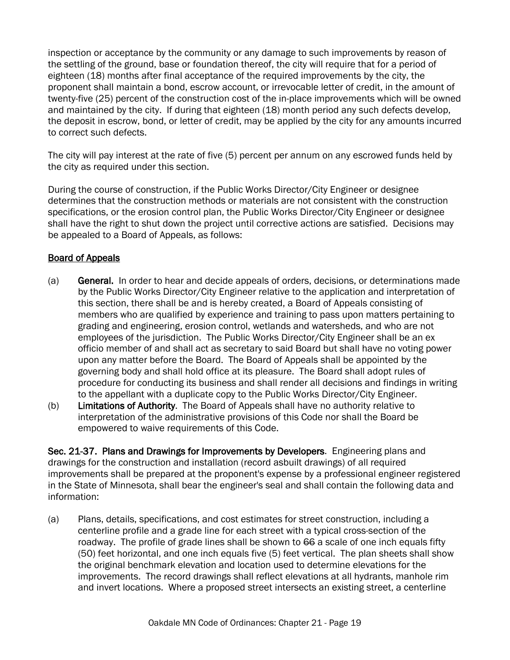inspection or acceptance by the community or any damage to such improvements by reason of the settling of the ground, base or foundation thereof, the city will require that for a period of eighteen (18) months after final acceptance of the required improvements by the city, the proponent shall maintain a bond, escrow account, or irrevocable letter of credit, in the amount of twenty-five (25) percent of the construction cost of the in-place improvements which will be owned and maintained by the city. If during that eighteen (18) month period any such defects develop, the deposit in escrow, bond, or letter of credit, may be applied by the city for any amounts incurred to correct such defects.

The city will pay interest at the rate of five (5) percent per annum on any escrowed funds held by the city as required under this section.

During the course of construction, if the Public Works Director/City Engineer or designee determines that the construction methods or materials are not consistent with the construction specifications, or the erosion control plan, the Public Works Director/City Engineer or designee shall have the right to shut down the project until corrective actions are satisfied. Decisions may be appealed to a Board of Appeals, as follows:

## Board of Appeals

- (a) General. In order to hear and decide appeals of orders, decisions, or determinations made by the Public Works Director/City Engineer relative to the application and interpretation of this section, there shall be and is hereby created, a Board of Appeals consisting of members who are qualified by experience and training to pass upon matters pertaining to grading and engineering, erosion control, wetlands and watersheds, and who are not employees of the jurisdiction. The Public Works Director/City Engineer shall be an ex officio member of and shall act as secretary to said Board but shall have no voting power upon any matter before the Board. The Board of Appeals shall be appointed by the governing body and shall hold office at its pleasure. The Board shall adopt rules of procedure for conducting its business and shall render all decisions and findings in writing to the appellant with a duplicate copy to the Public Works Director/City Engineer.
- (b) Limitations of Authority. The Board of Appeals shall have no authority relative to interpretation of the administrative provisions of this Code nor shall the Board be empowered to waive requirements of this Code.

Sec. 21-37. Plans and Drawings for Improvements by Developers. Engineering plans and drawings for the construction and installation (record asbuilt drawings) of all required improvements shall be prepared at the proponent's expense by a professional engineer registered in the State of Minnesota, shall bear the engineer's seal and shall contain the following data and information:

(a) Plans, details, specifications, and cost estimates for street construction, including a centerline profile and a grade line for each street with a typical cross-section of the roadway. The profile of grade lines shall be shown to 66 a scale of one inch equals fifty (50) feet horizontal, and one inch equals five (5) feet vertical. The plan sheets shall show the original benchmark elevation and location used to determine elevations for the improvements. The record drawings shall reflect elevations at all hydrants, manhole rim and invert locations. Where a proposed street intersects an existing street, a centerline